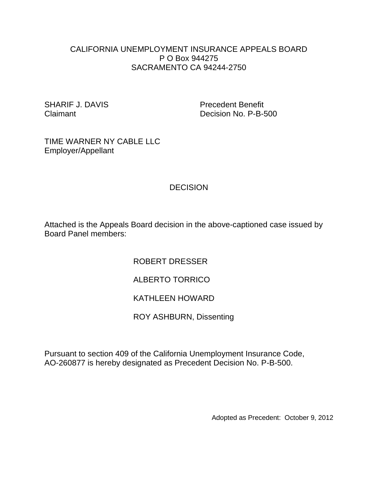#### CALIFORNIA UNEMPLOYMENT INSURANCE APPEALS BOARD P O Box 944275 SACRAMENTO CA 94244-2750

SHARIF J. DAVIS Precedent Benefit Claimant Decision No. P-B-500

TIME WARNER NY CABLE LLC Employer/Appellant

# **DECISION**

Attached is the Appeals Board decision in the above-captioned case issued by Board Panel members:

ROBERT DRESSER

## ALBERTO TORRICO

### KATHLEEN HOWARD

ROY ASHBURN, Dissenting

Pursuant to section 409 of the California Unemployment Insurance Code, AO-260877 is hereby designated as Precedent Decision No. P-B-500.

Adopted as Precedent: October 9, 2012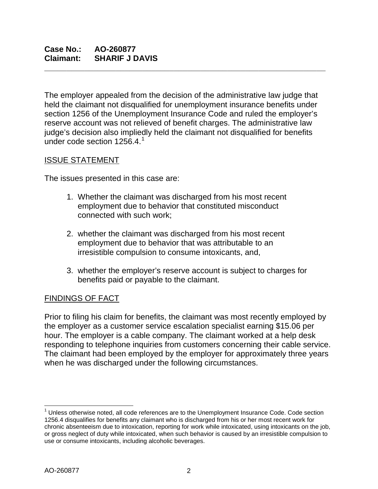The employer appealed from the decision of the administrative law judge that held the claimant not disqualified for unemployment insurance benefits under section 1256 of the Unemployment Insurance Code and ruled the employer's reserve account was not relieved of benefit charges. The administrative law judge's decision also impliedly held the claimant not disqualified for benefits under code section  $1256.4<sup>1</sup>$  $1256.4<sup>1</sup>$ 

**\_\_\_\_\_\_\_\_\_\_\_\_\_\_\_\_\_\_\_\_\_\_\_\_\_\_\_\_\_\_\_\_\_\_\_\_\_\_\_\_\_\_\_\_\_\_\_\_\_\_\_\_\_\_\_\_\_\_\_\_\_\_\_**

## ISSUE STATEMENT

The issues presented in this case are:

- 1. Whether the claimant was discharged from his most recent employment due to behavior that constituted misconduct connected with such work;
- 2. whether the claimant was discharged from his most recent employment due to behavior that was attributable to an irresistible compulsion to consume intoxicants, and,
- 3. whether the employer's reserve account is subject to charges for benefits paid or payable to the claimant.

## FINDINGS OF FACT

Prior to filing his claim for benefits, the claimant was most recently employed by the employer as a customer service escalation specialist earning \$15.06 per hour. The employer is a cable company. The claimant worked at a help desk responding to telephone inquiries from customers concerning their cable service. The claimant had been employed by the employer for approximately three years when he was discharged under the following circumstances.

<span id="page-1-0"></span> $1$  Unless otherwise noted, all code references are to the Unemployment Insurance Code. Code section 1256.4 disqualifies for benefits any claimant who is discharged from his or her most recent work for chronic absenteeism due to intoxication, reporting for work while intoxicated, using intoxicants on the job, or gross neglect of duty while intoxicated, when such behavior is caused by an irresistible compulsion to use or consume intoxicants, including alcoholic beverages.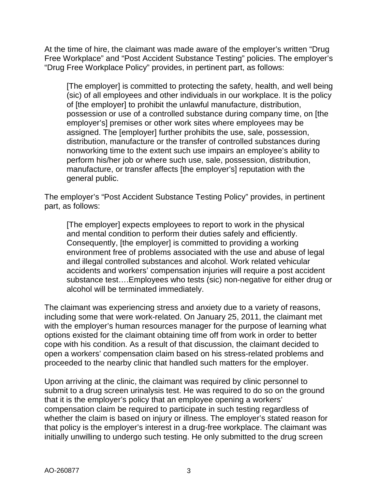At the time of hire, the claimant was made aware of the employer's written "Drug Free Workplace" and "Post Accident Substance Testing" policies. The employer's "Drug Free Workplace Policy" provides, in pertinent part, as follows:

[The employer] is committed to protecting the safety, health, and well being (sic) of all employees and other individuals in our workplace. It is the policy of [the employer] to prohibit the unlawful manufacture, distribution, possession or use of a controlled substance during company time, on [the employer's] premises or other work sites where employees may be assigned. The [employer] further prohibits the use, sale, possession, distribution, manufacture or the transfer of controlled substances during nonworking time to the extent such use impairs an employee's ability to perform his/her job or where such use, sale, possession, distribution, manufacture, or transfer affects [the employer's] reputation with the general public.

The employer's "Post Accident Substance Testing Policy" provides, in pertinent part, as follows:

[The employer] expects employees to report to work in the physical and mental condition to perform their duties safely and efficiently. Consequently, [the employer] is committed to providing a working environment free of problems associated with the use and abuse of legal and illegal controlled substances and alcohol. Work related vehicular accidents and workers' compensation injuries will require a post accident substance test….Employees who tests (sic) non-negative for either drug or alcohol will be terminated immediately.

The claimant was experiencing stress and anxiety due to a variety of reasons, including some that were work-related. On January 25, 2011, the claimant met with the employer's human resources manager for the purpose of learning what options existed for the claimant obtaining time off from work in order to better cope with his condition. As a result of that discussion, the claimant decided to open a workers' compensation claim based on his stress-related problems and proceeded to the nearby clinic that handled such matters for the employer.

Upon arriving at the clinic, the claimant was required by clinic personnel to submit to a drug screen urinalysis test. He was required to do so on the ground that it is the employer's policy that an employee opening a workers' compensation claim be required to participate in such testing regardless of whether the claim is based on injury or illness. The employer's stated reason for that policy is the employer's interest in a drug-free workplace. The claimant was initially unwilling to undergo such testing. He only submitted to the drug screen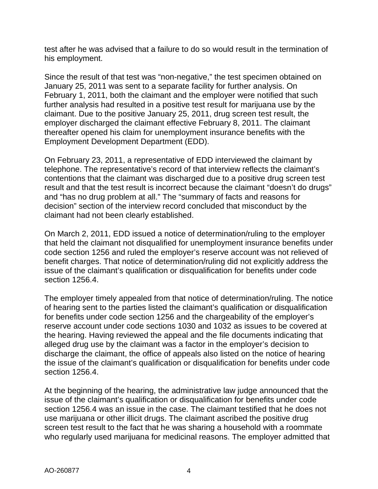test after he was advised that a failure to do so would result in the termination of his employment.

Since the result of that test was "non-negative," the test specimen obtained on January 25, 2011 was sent to a separate facility for further analysis. On February 1, 2011, both the claimant and the employer were notified that such further analysis had resulted in a positive test result for marijuana use by the claimant. Due to the positive January 25, 2011, drug screen test result, the employer discharged the claimant effective February 8, 2011. The claimant thereafter opened his claim for unemployment insurance benefits with the Employment Development Department (EDD).

On February 23, 2011, a representative of EDD interviewed the claimant by telephone. The representative's record of that interview reflects the claimant's contentions that the claimant was discharged due to a positive drug screen test result and that the test result is incorrect because the claimant "doesn't do drugs" and "has no drug problem at all." The "summary of facts and reasons for decision" section of the interview record concluded that misconduct by the claimant had not been clearly established.

On March 2, 2011, EDD issued a notice of determination/ruling to the employer that held the claimant not disqualified for unemployment insurance benefits under code section 1256 and ruled the employer's reserve account was not relieved of benefit charges. That notice of determination/ruling did not explicitly address the issue of the claimant's qualification or disqualification for benefits under code section 1256.4.

The employer timely appealed from that notice of determination/ruling. The notice of hearing sent to the parties listed the claimant's qualification or disqualification for benefits under code section 1256 and the chargeability of the employer's reserve account under code sections 1030 and 1032 as issues to be covered at the hearing. Having reviewed the appeal and the file documents indicating that alleged drug use by the claimant was a factor in the employer's decision to discharge the claimant, the office of appeals also listed on the notice of hearing the issue of the claimant's qualification or disqualification for benefits under code section 1256.4.

At the beginning of the hearing, the administrative law judge announced that the issue of the claimant's qualification or disqualification for benefits under code section 1256.4 was an issue in the case. The claimant testified that he does not use marijuana or other illicit drugs. The claimant ascribed the positive drug screen test result to the fact that he was sharing a household with a roommate who regularly used marijuana for medicinal reasons. The employer admitted that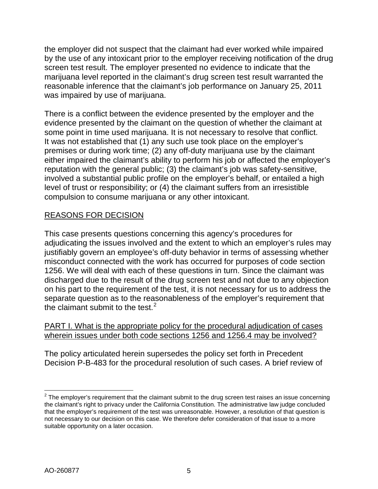the employer did not suspect that the claimant had ever worked while impaired by the use of any intoxicant prior to the employer receiving notification of the drug screen test result. The employer presented no evidence to indicate that the marijuana level reported in the claimant's drug screen test result warranted the reasonable inference that the claimant's job performance on January 25, 2011 was impaired by use of marijuana.

There is a conflict between the evidence presented by the employer and the evidence presented by the claimant on the question of whether the claimant at some point in time used marijuana. It is not necessary to resolve that conflict. It was not established that (1) any such use took place on the employer's premises or during work time; (2) any off-duty marijuana use by the claimant either impaired the claimant's ability to perform his job or affected the employer's reputation with the general public; (3) the claimant's job was safety-sensitive, involved a substantial public profile on the employer's behalf, or entailed a high level of trust or responsibility; or (4) the claimant suffers from an irresistible compulsion to consume marijuana or any other intoxicant.

## REASONS FOR DECISION

This case presents questions concerning this agency's procedures for adjudicating the issues involved and the extent to which an employer's rules may justifiably govern an employee's off-duty behavior in terms of assessing whether misconduct connected with the work has occurred for purposes of code section 1256. We will deal with each of these questions in turn. Since the claimant was discharged due to the result of the drug screen test and not due to any objection on his part to the requirement of the test, it is not necessary for us to address the separate question as to the reasonableness of the employer's requirement that the claimant submit to the test. $2$ 

### PART I. What is the appropriate policy for the procedural adjudication of cases wherein issues under both code sections 1256 and 1256.4 may be involved?

The policy articulated herein supersedes the policy set forth in Precedent Decision P-B-483 for the procedural resolution of such cases. A brief review of

<span id="page-4-0"></span> $2$  The employer's requirement that the claimant submit to the drug screen test raises an issue concerning the claimant's right to privacy under the California Constitution. The administrative law judge concluded that the employer's requirement of the test was unreasonable. However, a resolution of that question is not necessary to our decision on this case. We therefore defer consideration of that issue to a more suitable opportunity on a later occasion.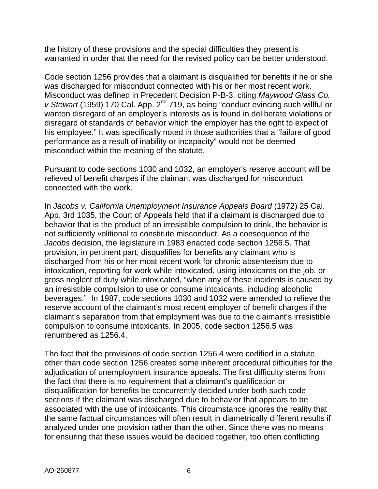the history of these provisions and the special difficulties they present is warranted in order that the need for the revised policy can be better understood.

Code section 1256 provides that a claimant is disqualified for benefits if he or she was discharged for misconduct connected with his or her most recent work. Misconduct was defined in Precedent Decision P-B-3, citing *Maywood Glass Co. v Stewart* (1959) 170 Cal. App. 2<sup>nd</sup> 719, as being "conduct evincing such willful or wanton disregard of an employer's interests as is found in deliberate violations or disregard of standards of behavior which the employer has the right to expect of his employee." It was specifically noted in those authorities that a "failure of good performance as a result of inability or incapacity" would not be deemed misconduct within the meaning of the statute.

Pursuant to code sections 1030 and 1032, an employer's reserve account will be relieved of benefit charges if the claimant was discharged for misconduct connected with the work.

In *Jacobs v. California Unemployment Insurance Appeals Board* (1972) 25 Cal. App. 3rd 1035, the Court of Appeals held that if a claimant is discharged due to behavior that is the product of an irresistible compulsion to drink, the behavior is not sufficiently volitional to constitute misconduct. As a consequence of the *Jacobs* decision, the legislature in 1983 enacted code section 1256.5. That provision, in pertinent part, disqualifies for benefits any claimant who is discharged from his or her most recent work for chronic absenteeism due to intoxication, reporting for work while intoxicated, using intoxicants on the job, or gross neglect of duty while intoxicated, "when any of these incidents is caused by an irresistible compulsion to use or consume intoxicants, including alcoholic beverages." In 1987, code sections 1030 and 1032 were amended to relieve the reserve account of the claimant's most recent employer of benefit charges if the claimant's separation from that employment was due to the claimant's irresistible compulsion to consume intoxicants. In 2005, code section 1256.5 was renumbered as 1256.4.

The fact that the provisions of code section 1256.4 were codified in a statute other than code section 1256 created some inherent procedural difficulties for the adjudication of unemployment insurance appeals. The first difficulty stems from the fact that there is no requirement that a claimant's qualification or disqualification for benefits be concurrently decided under both such code sections if the claimant was discharged due to behavior that appears to be associated with the use of intoxicants. This circumstance ignores the reality that the same factual circumstances will often result in diametrically different results if analyzed under one provision rather than the other. Since there was no means for ensuring that these issues would be decided together, too often conflicting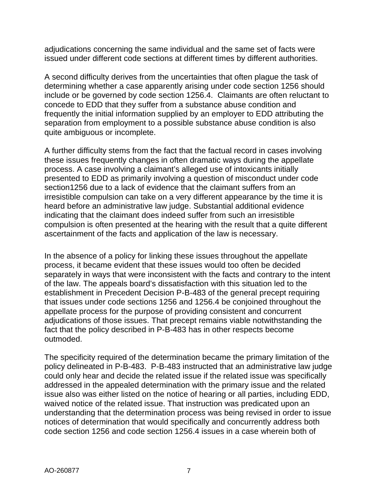adjudications concerning the same individual and the same set of facts were issued under different code sections at different times by different authorities.

A second difficulty derives from the uncertainties that often plague the task of determining whether a case apparently arising under code section 1256 should include or be governed by code section 1256.4. Claimants are often reluctant to concede to EDD that they suffer from a substance abuse condition and frequently the initial information supplied by an employer to EDD attributing the separation from employment to a possible substance abuse condition is also quite ambiguous or incomplete.

A further difficulty stems from the fact that the factual record in cases involving these issues frequently changes in often dramatic ways during the appellate process. A case involving a claimant's alleged use of intoxicants initially presented to EDD as primarily involving a question of misconduct under code section1256 due to a lack of evidence that the claimant suffers from an irresistible compulsion can take on a very different appearance by the time it is heard before an administrative law judge. Substantial additional evidence indicating that the claimant does indeed suffer from such an irresistible compulsion is often presented at the hearing with the result that a quite different ascertainment of the facts and application of the law is necessary.

In the absence of a policy for linking these issues throughout the appellate process, it became evident that these issues would too often be decided separately in ways that were inconsistent with the facts and contrary to the intent of the law. The appeals board's dissatisfaction with this situation led to the establishment in Precedent Decision P-B-483 of the general precept requiring that issues under code sections 1256 and 1256.4 be conjoined throughout the appellate process for the purpose of providing consistent and concurrent adjudications of those issues. That precept remains viable notwithstanding the fact that the policy described in P-B-483 has in other respects become outmoded.

The specificity required of the determination became the primary limitation of the policy delineated in P-B-483. P-B-483 instructed that an administrative law judge could only hear and decide the related issue if the related issue was specifically addressed in the appealed determination with the primary issue and the related issue also was either listed on the notice of hearing or all parties, including EDD, waived notice of the related issue. That instruction was predicated upon an understanding that the determination process was being revised in order to issue notices of determination that would specifically and concurrently address both code section 1256 and code section 1256.4 issues in a case wherein both of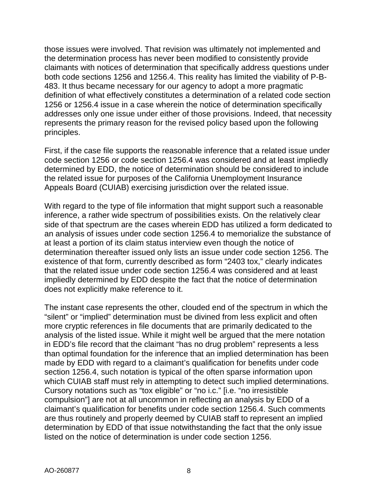those issues were involved. That revision was ultimately not implemented and the determination process has never been modified to consistently provide claimants with notices of determination that specifically address questions under both code sections 1256 and 1256.4. This reality has limited the viability of P-B-483. It thus became necessary for our agency to adopt a more pragmatic definition of what effectively constitutes a determination of a related code section 1256 or 1256.4 issue in a case wherein the notice of determination specifically addresses only one issue under either of those provisions. Indeed, that necessity represents the primary reason for the revised policy based upon the following principles.

First, if the case file supports the reasonable inference that a related issue under code section 1256 or code section 1256.4 was considered and at least impliedly determined by EDD, the notice of determination should be considered to include the related issue for purposes of the California Unemployment Insurance Appeals Board (CUIAB) exercising jurisdiction over the related issue.

With regard to the type of file information that might support such a reasonable inference, a rather wide spectrum of possibilities exists. On the relatively clear side of that spectrum are the cases wherein EDD has utilized a form dedicated to an analysis of issues under code section 1256.4 to memorialize the substance of at least a portion of its claim status interview even though the notice of determination thereafter issued only lists an issue under code section 1256. The existence of that form, currently described as form "2403 tox," clearly indicates that the related issue under code section 1256.4 was considered and at least impliedly determined by EDD despite the fact that the notice of determination does not explicitly make reference to it.

The instant case represents the other, clouded end of the spectrum in which the "silent" or "implied" determination must be divined from less explicit and often more cryptic references in file documents that are primarily dedicated to the analysis of the listed issue. While it might well be argued that the mere notation in EDD's file record that the claimant "has no drug problem" represents a less than optimal foundation for the inference that an implied determination has been made by EDD with regard to a claimant's qualification for benefits under code section 1256.4, such notation is typical of the often sparse information upon which CUIAB staff must rely in attempting to detect such implied determinations. Cursory notations such as "tox eligible" or "no i.c." [i.e. "no irresistible compulsion"] are not at all uncommon in reflecting an analysis by EDD of a claimant's qualification for benefits under code section 1256.4. Such comments are thus routinely and properly deemed by CUIAB staff to represent an implied determination by EDD of that issue notwithstanding the fact that the only issue listed on the notice of determination is under code section 1256.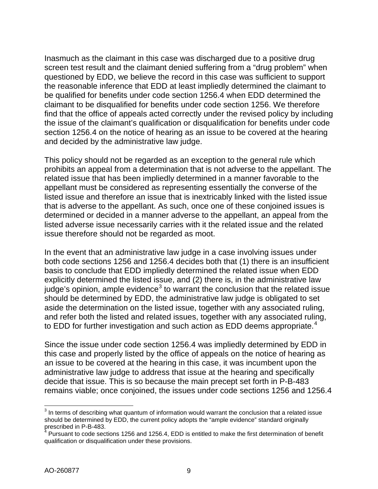Inasmuch as the claimant in this case was discharged due to a positive drug screen test result and the claimant denied suffering from a "drug problem" when questioned by EDD, we believe the record in this case was sufficient to support the reasonable inference that EDD at least impliedly determined the claimant to be qualified for benefits under code section 1256.4 when EDD determined the claimant to be disqualified for benefits under code section 1256. We therefore find that the office of appeals acted correctly under the revised policy by including the issue of the claimant's qualification or disqualification for benefits under code section 1256.4 on the notice of hearing as an issue to be covered at the hearing and decided by the administrative law judge.

This policy should not be regarded as an exception to the general rule which prohibits an appeal from a determination that is not adverse to the appellant. The related issue that has been impliedly determined in a manner favorable to the appellant must be considered as representing essentially the converse of the listed issue and therefore an issue that is inextricably linked with the listed issue that is adverse to the appellant. As such, once one of these conjoined issues is determined or decided in a manner adverse to the appellant, an appeal from the listed adverse issue necessarily carries with it the related issue and the related issue therefore should not be regarded as moot.

In the event that an administrative law judge in a case involving issues under both code sections 1256 and 1256.4 decides both that (1) there is an insufficient basis to conclude that EDD impliedly determined the related issue when EDD explicitly determined the listed issue, and (2) there is, in the administrative law judge's opinion, ample evidence<sup>[3](#page-8-0)</sup> to warrant the conclusion that the related issue should be determined by EDD, the administrative law judge is obligated to set aside the determination on the listed issue, together with any associated ruling, and refer both the listed and related issues, together with any associated ruling, to EDD for further investigation and such action as EDD deems appropriate.<sup>[4](#page-8-1)</sup>

Since the issue under code section 1256.4 was impliedly determined by EDD in this case and properly listed by the office of appeals on the notice of hearing as an issue to be covered at the hearing in this case, it was incumbent upon the administrative law judge to address that issue at the hearing and specifically decide that issue. This is so because the main precept set forth in P-B-483 remains viable; once conjoined, the issues under code sections 1256 and 1256.4

<span id="page-8-0"></span> $3$  In terms of describing what quantum of information would warrant the conclusion that a related issue should be determined by EDD, the current policy adopts the "ample evidence" standard originally  $\frac{1}{2}$  are determined larger prescribed in P-B-483.

<span id="page-8-1"></span>Pursuant to code sections 1256 and 1256.4, EDD is entitled to make the first determination of benefit qualification or disqualification under these provisions.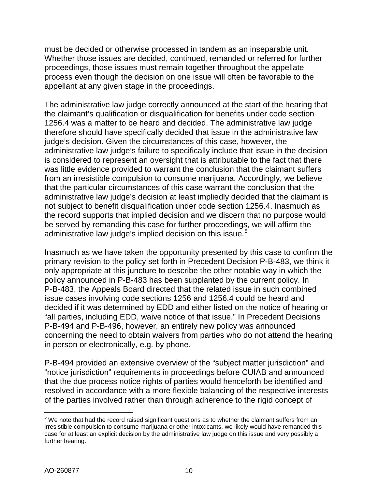must be decided or otherwise processed in tandem as an inseparable unit. Whether those issues are decided, continued, remanded or referred for further proceedings, those issues must remain together throughout the appellate process even though the decision on one issue will often be favorable to the appellant at any given stage in the proceedings.

The administrative law judge correctly announced at the start of the hearing that the claimant's qualification or disqualification for benefits under code section 1256.4 was a matter to be heard and decided. The administrative law judge therefore should have specifically decided that issue in the administrative law judge's decision. Given the circumstances of this case, however, the administrative law judge's failure to specifically include that issue in the decision is considered to represent an oversight that is attributable to the fact that there was little evidence provided to warrant the conclusion that the claimant suffers from an irresistible compulsion to consume marijuana. Accordingly, we believe that the particular circumstances of this case warrant the conclusion that the administrative law judge's decision at least impliedly decided that the claimant is not subject to benefit disqualification under code section 1256.4. Inasmuch as the record supports that implied decision and we discern that no purpose would be served by remanding this case for further proceedings, we will affirm the administrative law judge's implied decision on this issue.<sup>[5](#page-9-0)</sup>

Inasmuch as we have taken the opportunity presented by this case to confirm the primary revision to the policy set forth in Precedent Decision P-B-483, we think it only appropriate at this juncture to describe the other notable way in which the policy announced in P-B-483 has been supplanted by the current policy. In P-B-483, the Appeals Board directed that the related issue in such combined issue cases involving code sections 1256 and 1256.4 could be heard and decided if it was determined by EDD and either listed on the notice of hearing or "all parties, including EDD, waive notice of that issue." In Precedent Decisions P-B-494 and P-B-496, however, an entirely new policy was announced concerning the need to obtain waivers from parties who do not attend the hearing in person or electronically, e.g. by phone.

P-B-494 provided an extensive overview of the "subject matter jurisdiction" and "notice jurisdiction" requirements in proceedings before CUIAB and announced that the due process notice rights of parties would henceforth be identified and resolved in accordance with a more flexible balancing of the respective interests of the parties involved rather than through adherence to the rigid concept of

<span id="page-9-0"></span> $5$  We note that had the record raised significant questions as to whether the claimant suffers from an irresistible compulsion to consume marijuana or other intoxicants, we likely would have remanded this case for at least an explicit decision by the administrative law judge on this issue and very possibly a further hearing.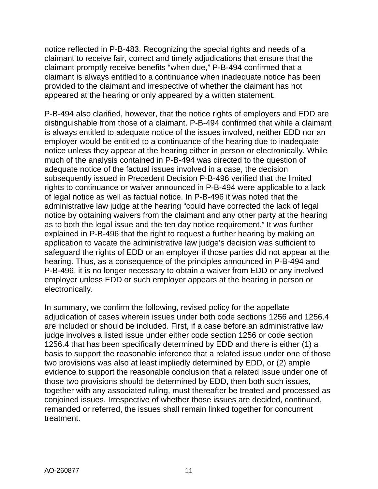notice reflected in P-B-483. Recognizing the special rights and needs of a claimant to receive fair, correct and timely adjudications that ensure that the claimant promptly receive benefits "when due," P-B-494 confirmed that a claimant is always entitled to a continuance when inadequate notice has been provided to the claimant and irrespective of whether the claimant has not appeared at the hearing or only appeared by a written statement.

P-B-494 also clarified, however, that the notice rights of employers and EDD are distinguishable from those of a claimant. P-B-494 confirmed that while a claimant is always entitled to adequate notice of the issues involved, neither EDD nor an employer would be entitled to a continuance of the hearing due to inadequate notice unless they appear at the hearing either in person or electronically. While much of the analysis contained in P-B-494 was directed to the question of adequate notice of the factual issues involved in a case, the decision subsequently issued in Precedent Decision P-B-496 verified that the limited rights to continuance or waiver announced in P-B-494 were applicable to a lack of legal notice as well as factual notice. In P-B-496 it was noted that the administrative law judge at the hearing "could have corrected the lack of legal notice by obtaining waivers from the claimant and any other party at the hearing as to both the legal issue and the ten day notice requirement." It was further explained in P-B-496 that the right to request a further hearing by making an application to vacate the administrative law judge's decision was sufficient to safeguard the rights of EDD or an employer if those parties did not appear at the hearing. Thus, as a consequence of the principles announced in P-B-494 and P-B-496, it is no longer necessary to obtain a waiver from EDD or any involved employer unless EDD or such employer appears at the hearing in person or electronically.

In summary, we confirm the following, revised policy for the appellate adjudication of cases wherein issues under both code sections 1256 and 1256.4 are included or should be included. First, if a case before an administrative law judge involves a listed issue under either code section 1256 or code section 1256.4 that has been specifically determined by EDD and there is either (1) a basis to support the reasonable inference that a related issue under one of those two provisions was also at least impliedly determined by EDD, or (2) ample evidence to support the reasonable conclusion that a related issue under one of those two provisions should be determined by EDD, then both such issues, together with any associated ruling, must thereafter be treated and processed as conjoined issues. Irrespective of whether those issues are decided, continued, remanded or referred, the issues shall remain linked together for concurrent treatment.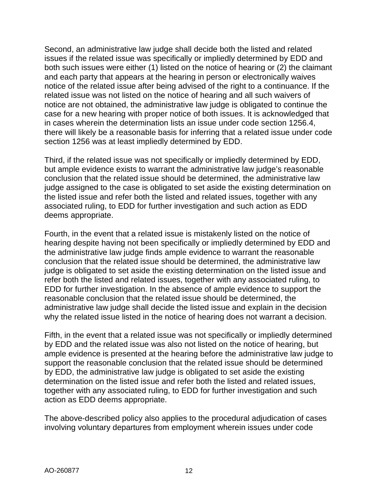Second, an administrative law judge shall decide both the listed and related issues if the related issue was specifically or impliedly determined by EDD and both such issues were either (1) listed on the notice of hearing or (2) the claimant and each party that appears at the hearing in person or electronically waives notice of the related issue after being advised of the right to a continuance. If the related issue was not listed on the notice of hearing and all such waivers of notice are not obtained, the administrative law judge is obligated to continue the case for a new hearing with proper notice of both issues. It is acknowledged that in cases wherein the determination lists an issue under code section 1256.4, there will likely be a reasonable basis for inferring that a related issue under code section 1256 was at least impliedly determined by EDD.

Third, if the related issue was not specifically or impliedly determined by EDD, but ample evidence exists to warrant the administrative law judge's reasonable conclusion that the related issue should be determined, the administrative law judge assigned to the case is obligated to set aside the existing determination on the listed issue and refer both the listed and related issues, together with any associated ruling, to EDD for further investigation and such action as EDD deems appropriate.

Fourth, in the event that a related issue is mistakenly listed on the notice of hearing despite having not been specifically or impliedly determined by EDD and the administrative law judge finds ample evidence to warrant the reasonable conclusion that the related issue should be determined, the administrative law judge is obligated to set aside the existing determination on the listed issue and refer both the listed and related issues, together with any associated ruling, to EDD for further investigation. In the absence of ample evidence to support the reasonable conclusion that the related issue should be determined, the administrative law judge shall decide the listed issue and explain in the decision why the related issue listed in the notice of hearing does not warrant a decision.

Fifth, in the event that a related issue was not specifically or impliedly determined by EDD and the related issue was also not listed on the notice of hearing, but ample evidence is presented at the hearing before the administrative law judge to support the reasonable conclusion that the related issue should be determined by EDD, the administrative law judge is obligated to set aside the existing determination on the listed issue and refer both the listed and related issues, together with any associated ruling, to EDD for further investigation and such action as EDD deems appropriate.

The above-described policy also applies to the procedural adjudication of cases involving voluntary departures from employment wherein issues under code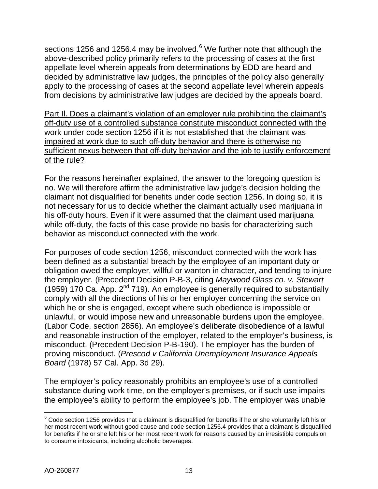sections 125[6](#page-12-0) and 1256.4 may be involved. $6$  We further note that although the above-described policy primarily refers to the processing of cases at the first appellate level wherein appeals from determinations by EDD are heard and decided by administrative law judges, the principles of the policy also generally apply to the processing of cases at the second appellate level wherein appeals from decisions by administrative law judges are decided by the appeals board.

Part Il. Does a claimant's violation of an employer rule prohibiting the claimant's off-duty use of a controlled substance constitute misconduct connected with the work under code section 1256 if it is not established that the claimant was impaired at work due to such off-duty behavior and there is otherwise no sufficient nexus between that off-duty behavior and the job to justify enforcement of the rule?

For the reasons hereinafter explained, the answer to the foregoing question is no. We will therefore affirm the administrative law judge's decision holding the claimant not disqualified for benefits under code section 1256. In doing so, it is not necessary for us to decide whether the claimant actually used marijuana in his off-duty hours. Even if it were assumed that the claimant used marijuana while off-duty, the facts of this case provide no basis for characterizing such behavior as misconduct connected with the work.

For purposes of code section 1256, misconduct connected with the work has been defined as a substantial breach by the employee of an important duty or obligation owed the employer, willful or wanton in character, and tending to injure the employer. (Precedent Decision P-B-3, citing *Maywood Glass co. v. Stewart*  (1959) 170 Ca. App.  $2^{nd}$  719). An employee is generally required to substantially comply with all the directions of his or her employer concerning the service on which he or she is engaged, except where such obedience is impossible or unlawful, or would impose new and unreasonable burdens upon the employee. (Labor Code, section 2856). An employee's deliberate disobedience of a lawful and reasonable instruction of the employer, related to the employer's business, is misconduct. (Precedent Decision P-B-190). The employer has the burden of proving misconduct. (*Prescod v California Unemployment Insurance Appeals Board* (1978) 57 Cal. App. 3d 29).

The employer's policy reasonably prohibits an employee's use of a controlled substance during work time, on the employer's premises, or if such use impairs the employee's ability to perform the employee's job. The employer was unable

<span id="page-12-0"></span> $6$  Code section 1256 provides that a claimant is disqualified for benefits if he or she voluntarily left his or her most recent work without good cause and code section 1256.4 provides that a claimant is disqualified for benefits if he or she left his or her most recent work for reasons caused by an irresistible compulsion to consume intoxicants, including alcoholic beverages.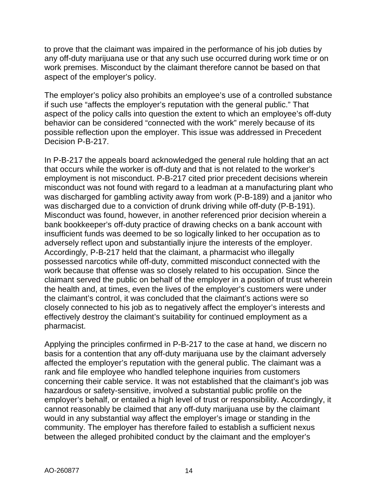to prove that the claimant was impaired in the performance of his job duties by any off-duty marijuana use or that any such use occurred during work time or on work premises. Misconduct by the claimant therefore cannot be based on that aspect of the employer's policy.

The employer's policy also prohibits an employee's use of a controlled substance if such use "affects the employer's reputation with the general public." That aspect of the policy calls into question the extent to which an employee's off-duty behavior can be considered "connected with the work" merely because of its possible reflection upon the employer. This issue was addressed in Precedent Decision P-B-217.

In P-B-217 the appeals board acknowledged the general rule holding that an act that occurs while the worker is off-duty and that is not related to the worker's employment is not misconduct. P-B-217 cited prior precedent decisions wherein misconduct was not found with regard to a leadman at a manufacturing plant who was discharged for gambling activity away from work (P-B-189) and a janitor who was discharged due to a conviction of drunk driving while off-duty (P-B-191). Misconduct was found, however, in another referenced prior decision wherein a bank bookkeeper's off-duty practice of drawing checks on a bank account with insufficient funds was deemed to be so logically linked to her occupation as to adversely reflect upon and substantially injure the interests of the employer. Accordingly, P-B-217 held that the claimant, a pharmacist who illegally possessed narcotics while off-duty, committed misconduct connected with the work because that offense was so closely related to his occupation. Since the claimant served the public on behalf of the employer in a position of trust wherein the health and, at times, even the lives of the employer's customers were under the claimant's control, it was concluded that the claimant's actions were so closely connected to his job as to negatively affect the employer's interests and effectively destroy the claimant's suitability for continued employment as a pharmacist.

Applying the principles confirmed in P-B-217 to the case at hand, we discern no basis for a contention that any off-duty marijuana use by the claimant adversely affected the employer's reputation with the general public. The claimant was a rank and file employee who handled telephone inquiries from customers concerning their cable service. It was not established that the claimant's job was hazardous or safety-sensitive, involved a substantial public profile on the employer's behalf, or entailed a high level of trust or responsibility. Accordingly, it cannot reasonably be claimed that any off-duty marijuana use by the claimant would in any substantial way affect the employer's image or standing in the community. The employer has therefore failed to establish a sufficient nexus between the alleged prohibited conduct by the claimant and the employer's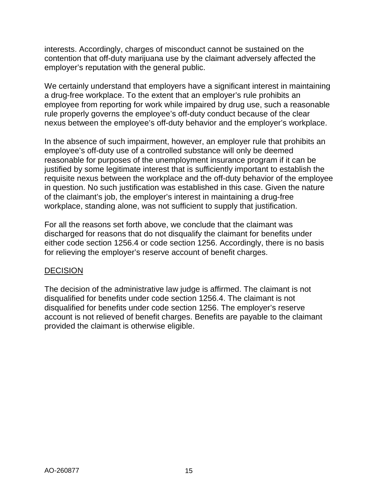interests. Accordingly, charges of misconduct cannot be sustained on the contention that off-duty marijuana use by the claimant adversely affected the employer's reputation with the general public.

We certainly understand that employers have a significant interest in maintaining a drug-free workplace. To the extent that an employer's rule prohibits an employee from reporting for work while impaired by drug use, such a reasonable rule properly governs the employee's off-duty conduct because of the clear nexus between the employee's off-duty behavior and the employer's workplace.

In the absence of such impairment, however, an employer rule that prohibits an employee's off-duty use of a controlled substance will only be deemed reasonable for purposes of the unemployment insurance program if it can be justified by some legitimate interest that is sufficiently important to establish the requisite nexus between the workplace and the off-duty behavior of the employee in question. No such justification was established in this case. Given the nature of the claimant's job, the employer's interest in maintaining a drug-free workplace, standing alone, was not sufficient to supply that justification.

For all the reasons set forth above, we conclude that the claimant was discharged for reasons that do not disqualify the claimant for benefits under either code section 1256.4 or code section 1256. Accordingly, there is no basis for relieving the employer's reserve account of benefit charges.

### **DECISION**

The decision of the administrative law judge is affirmed. The claimant is not disqualified for benefits under code section 1256.4. The claimant is not disqualified for benefits under code section 1256. The employer's reserve account is not relieved of benefit charges. Benefits are payable to the claimant provided the claimant is otherwise eligible.